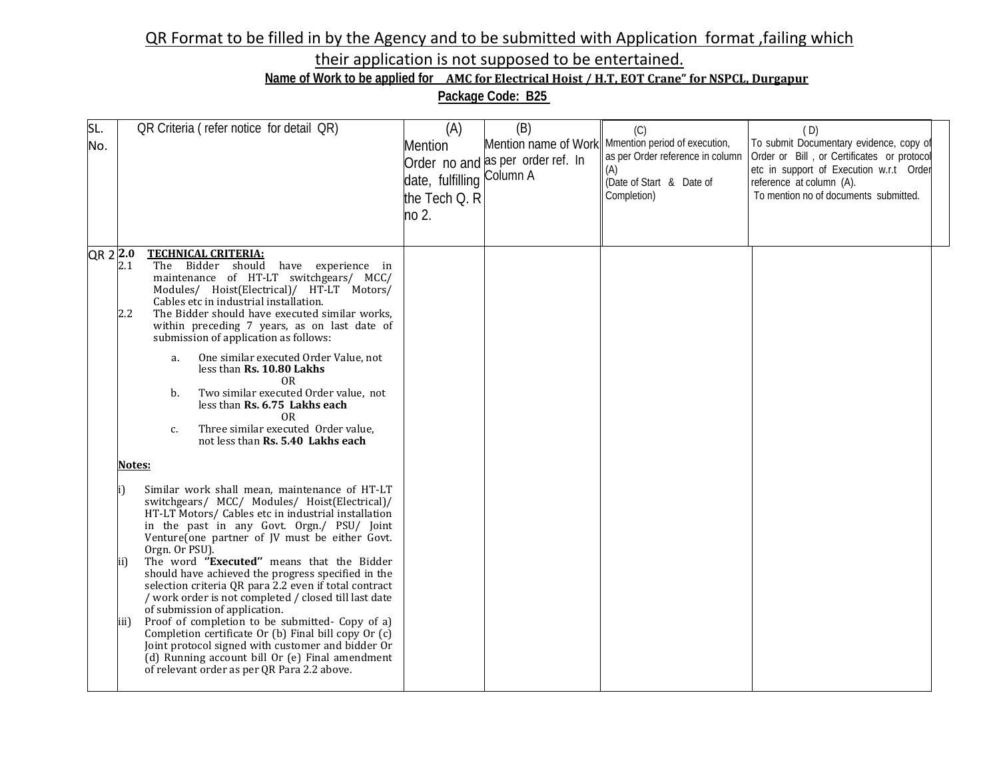## QR Format to be filled in by the Agency and to be submitted with Application format ,failing which

## their application is not supposed to be entertained.

## **Name of Work to be applied for AMC for Electrical Hoist / H.T, EOT Crane" for NSPCL, Durgapur**

**Package Code: B25** 

| SL.<br>No. | OR Criteria (refer notice for detail QR)                                                                                                                                                                                                                                                                                                                                                                                                                                                                                                                                                                                                                                                                                                                                                                                 | (A)<br><b>Mention</b><br>date, fulfilling Column A<br>the Tech Q. R<br>no 2. | (B)<br>Order no and as per order ref. In | (C)<br>Mention name of Work Mmention period of execution,<br>as per Order reference in column<br>(A)<br>(Date of Start & Date of<br>Completion) | (D)<br>To submit Documentary evidence, copy of<br>Order or Bill, or Certificates or protocol<br>etc in support of Execution w.r.t Order<br>reference at column (A).<br>To mention no of documents submitted. |
|------------|--------------------------------------------------------------------------------------------------------------------------------------------------------------------------------------------------------------------------------------------------------------------------------------------------------------------------------------------------------------------------------------------------------------------------------------------------------------------------------------------------------------------------------------------------------------------------------------------------------------------------------------------------------------------------------------------------------------------------------------------------------------------------------------------------------------------------|------------------------------------------------------------------------------|------------------------------------------|-------------------------------------------------------------------------------------------------------------------------------------------------|--------------------------------------------------------------------------------------------------------------------------------------------------------------------------------------------------------------|
| QR 2 $2.0$ | <b>TECHNICAL CRITERIA:</b><br>The Bidder should have experience in<br>2.1<br>maintenance of HT-LT switchgears/ MCC/<br>Modules/ Hoist(Electrical)/ HT-LT Motors/<br>Cables etc in industrial installation.<br>2.2<br>The Bidder should have executed similar works,<br>within preceding 7 years, as on last date of<br>submission of application as follows:<br>One similar executed Order Value, not<br>a.<br>less than Rs. 10.80 Lakhs<br><b>OR</b><br>Two similar executed Order value, not<br>b.<br>less than Rs. 6.75 Lakhs each<br>0 <sub>R</sub><br>Three similar executed Order value,<br>c.<br>not less than Rs. 5.40 Lakhs each                                                                                                                                                                                |                                                                              |                                          |                                                                                                                                                 |                                                                                                                                                                                                              |
|            | Notes:<br>Similar work shall mean, maintenance of HT-LT<br>switchgears/ MCC/ Modules/ Hoist(Electrical)/<br>HT-LT Motors/ Cables etc in industrial installation<br>in the past in any Govt. Orgn./ PSU/ Joint<br>Venture(one partner of JV must be either Govt.<br>Orgn. Or PSU).<br>The word "Executed" means that the Bidder<br>ii)<br>should have achieved the progress specified in the<br>selection criteria QR para 2.2 even if total contract<br>/ work order is not completed / closed till last date<br>of submission of application.<br>Proof of completion to be submitted- Copy of a)<br>lii)<br>Completion certificate Or (b) Final bill copy Or (c)<br>Joint protocol signed with customer and bidder Or<br>(d) Running account bill Or (e) Final amendment<br>of relevant order as per QR Para 2.2 above. |                                                                              |                                          |                                                                                                                                                 |                                                                                                                                                                                                              |